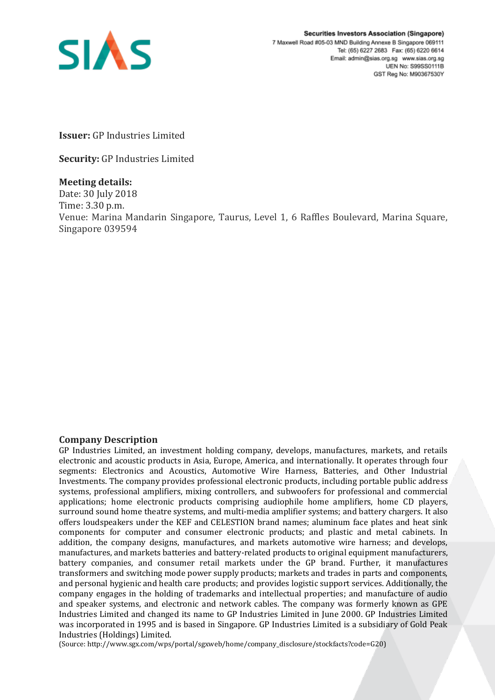

**Issuer:** GP Industries Limited

**Security:** GP Industries Limited

## **Meeting details:**

Date: 30 July 2018 Time: 3.30 p.m. Venue: Marina Mandarin Singapore, Taurus, Level 1, 6 Raffles Boulevard, Marina Square, Singapore 039594

## **Company Description**

GP Industries Limited, an investment holding company, develops, manufactures, markets, and retails electronic and acoustic products in Asia, Europe, America, and internationally. It operates through four segments: Electronics and Acoustics, Automotive Wire Harness, Batteries, and Other Industrial Investments. The company provides professional electronic products, including portable public address systems, professional amplifiers, mixing controllers, and subwoofers for professional and commercial applications; home electronic products comprising audiophile home amplifiers, home CD players, surround sound home theatre systems, and multi-media amplifier systems; and battery chargers. It also offers loudspeakers under the KEF and CELESTION brand names; aluminum face plates and heat sink components for computer and consumer electronic products; and plastic and metal cabinets. In addition, the company designs, manufactures, and markets automotive wire harness; and develops, manufactures, and markets batteries and battery-related products to original equipment manufacturers, battery companies, and consumer retail markets under the GP brand. Further, it manufactures transformers and switching mode power supply products; markets and trades in parts and components, and personal hygienic and health care products; and provides logistic support services. Additionally, the company engages in the holding of trademarks and intellectual properties; and manufacture of audio and speaker systems, and electronic and network cables. The company was formerly known as GPE Industries Limited and changed its name to GP Industries Limited in June 2000. GP Industries Limited was incorporated in 1995 and is based in Singapore. GP Industries Limited is a subsidiary of Gold Peak Industries (Holdings) Limited.

(Source: http://www.sgx.com/wps/portal/sgxweb/home/company\_disclosure/stockfacts?code=G20)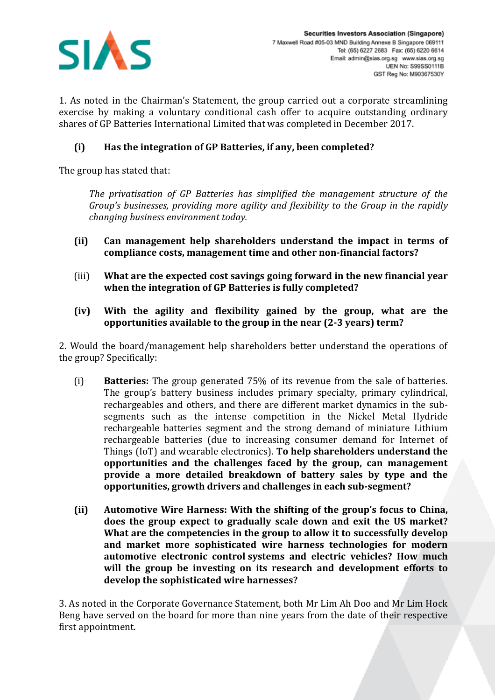

1. As noted in the Chairman's Statement, the group carried out a corporate streamlining exercise by making a voluntary conditional cash offer to acquire outstanding ordinary shares of GP Batteries International Limited that was completed in December 2017.

## **(i) Has the integration of GP Batteries, if any, been completed?**

The group has stated that:

*The privatisation of GP Batteries has simplified the management structure of the Group's businesses, providing more agility and flexibility to the Group in the rapidly changing business environment today.*

- **(ii) Can management help shareholders understand the impact in terms of compliance costs, management time and other non-financial factors?**
- (iii) **What are the expected cost savings going forward in the new financial year when the integration of GP Batteries is fully completed?**
- **(iv) With the agility and flexibility gained by the group, what are the opportunities available to the group in the near (2-3 years) term?**

2. Would the board/management help shareholders better understand the operations of the group? Specifically:

- (i) **Batteries:** The group generated 75% of its revenue from the sale of batteries. The group's battery business includes primary specialty, primary cylindrical, rechargeables and others, and there are different market dynamics in the subsegments such as the intense competition in the Nickel Metal Hydride rechargeable batteries segment and the strong demand of miniature Lithium rechargeable batteries (due to increasing consumer demand for Internet of Things (IoT) and wearable electronics). **To help shareholders understand the opportunities and the challenges faced by the group, can management provide a more detailed breakdown of battery sales by type and the opportunities, growth drivers and challenges in each sub-segment?**
- **(ii) Automotive Wire Harness: With the shifting of the group's focus to China, does the group expect to gradually scale down and exit the US market? What are the competencies in the group to allow it to successfully develop and market more sophisticated wire harness technologies for modern automotive electronic control systems and electric vehicles? How much will the group be investing on its research and development efforts to develop the sophisticated wire harnesses?**

3. As noted in the Corporate Governance Statement, both Mr Lim Ah Doo and Mr Lim Hock Beng have served on the board for more than nine years from the date of their respective first appointment.